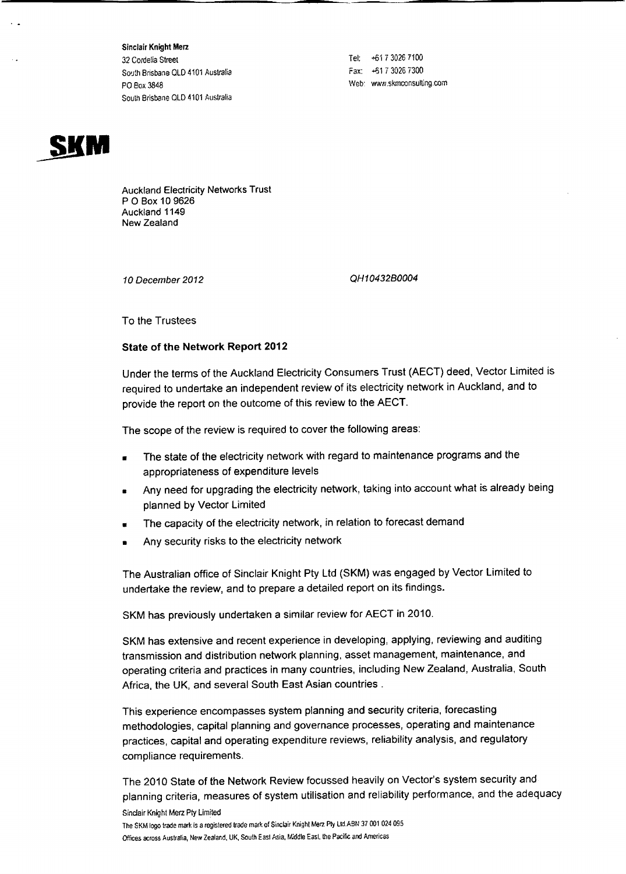Sinclair Knight Merz 32 Cordelia Street South Brisbane OLD 4101 Australia POBox 3848 South Brisbane QLD 4101 Australia

Tel: +617 3026 7100 Fax: +61 7 3026 7300 Web: www.skmccnsulting.com



Auckland Electricity Networks Trust POBox 109626 Auckland 1149 New Zealand

*10 December 2012*

*QH10432B0004*

To the Trustees

## **State of the Network Report 2012**

Under the terms of the Auckland Electricity Consumers Trust (AECT) deed, Vector Limited is required to undertake an independent review of its electricity network in Auckland, and to provide the report on the outcome of this review to the AECT.

The scope of the review is required to cover the following areas:

- The state of the electricity network with regard to maintenance programs and the appropriateness of expenditure levels
- Any need for upgrading the electricity network, taking into account what is already being planned by Vector Limited
- The capacity of the electricity network, in relation to forecast demand
- Any security risks to the electricity network

The Australian office of Sinclair Knight Pty Ltd (SKM) was engaged by Vector Limited to undertake the review, and to prepare a detailed report on its findings.

SKM has previously undertaken a similar review for AECT in 2010.

SKM has extensive and recent experience in developing, applying, reviewing and auditing transmission and distribution network planning, asset management, maintenance, and operating criteria and practices in many countries, including New Zealand, Australia, South Africa, the UK, and several South East Asian countries.

This experience encompasses system planning and security criteria, forecasting methodologies, capital planning and governance processes, operating and maintenance practices, capital and operating expenditure reviews, reliability analysis, and regulatory compliance requirements.

The 2010 State of the Network Review focussed heavily on Vector's system security and planning criteria, measures of system utilisation and reliability performance, and the adequacy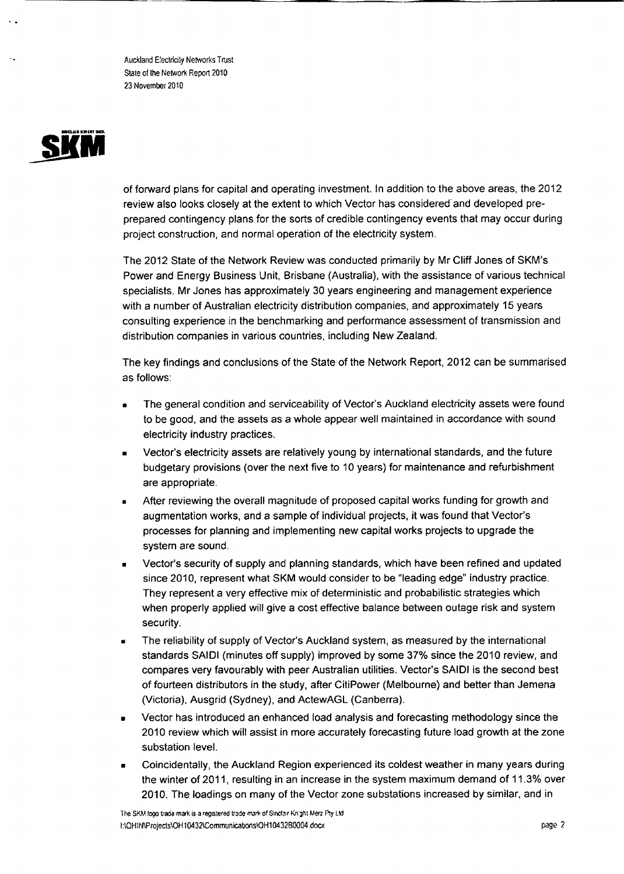Auckland Electricily Networks Trust State of the Network Report 2010 23 November 2010



of forward plans for capital and operating investment. In addition to the above areas, the 2012 review also looks closely at the extent to which Vector has considered' and developed preprepared contingency plans for the sorts of credible contingency events that may occur during project construction, and normal operation of the electricity system.

The 2012 State of the Network Review was conducted primarily by Mr Cliff Jones of SKM's Power and Energy Business Unit, Brisbane (Australia), with the assistance of various technical specialists. Mr Jones has approximately 30 years engineering and management experience with a number of Australian electricity distribution companies, and approximately 15 years consulting experience in the benchmarking and performance assessment of transmission and distribution companies in various countries, including New Zealand.

The key findings and conclusions of the State of the Network Report, 2012 can be summarised as follows:

- The general condition and serviceability of Vector's Auckland electricity assets were found to be good, and the assets as a whole appear well maintained in accordance with sound electricity industry practices.
- Vector's electricity assets are relatively young by international standards, and the future budgetary provisions (over the next five to 10 years) for maintenance and refurbishment are appropriate.
- After reviewing the overall magnitude of proposed capital works funding for growth and augmentation works, and a sample of individual projects, it was found that Vector's processes for planning and implementing new capital works projects to upgrade the system are sound.
- Vector's security of supply and planning standards, which have been refined and updated since 2010, represent what SKM would consider to be "leading edge" industry practice. They represent a very effective mix of deterministic and probabilistic strategies which when properly applied will give a cost effective balance between outage risk and system security.
- The reliability of supply of Vector's Auckland system, as measured by the international standards SAlOl (minutes off supply) improved by some 37% since the 2010 review. and compares very favourably with peer Australian utilities. Vector's SAlOl is the second best of fourteen distributors in the study, after CitiPower (Melbourne) and better than Jemena (Victoria), Ausgrid (Sydney), and ActewAGL (Canberra).
- Vector has introduced an enhanced load analysis and forecasting methodology since the 2010 review which will assist in more accurately forecasting future load growth at the zone substation level.
- Coincidentally, the Auckland Region experienced its coldest weather in many years during the winter of 2011, resulting in an increase in the system maximum demand of 11.3% over 2010. The loadings on many of the Vector zone substations increased by similar, and in